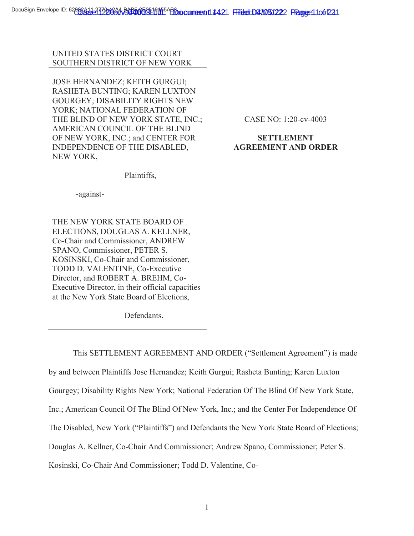## UNITED STATES DISTRICT COURT SOUTHERN DISTRICT OF NEW YORK

JOSE HERNANDEZ; KEITH GURGUI; RASHETA BUNTING; KAREN LUXTON GOURGEY; DISABILITY RIGHTS NEW YORK; NATIONAL FEDERATION OF THE BLIND OF NEW YORK STATE, INC.; AMERICAN COUNCIL OF THE BLIND OF NEW YORK, INC.; and CENTER FOR INDEPENDENCE OF THE DISABLED, NEW YORK,

CASE NO: 1:20-cv-4003

# **SETTLEMENT AGREEMENT AND ORDER**

Plaintiffs,

-against-

THE NEW YORK STATE BOARD OF ELECTIONS, DOUGLAS A. KELLNER, Co-Chair and Commissioner, ANDREW SPANO, Commissioner, PETER S. KOSINSKI, Co-Chair and Commissioner, TODD D. VALENTINE, Co-Executive Director, and ROBERT A. BREHM, Co-Executive Director, in their official capacities at the New York State Board of Elections,

Defendants.

This SETTLEMENT AGREEMENT AND ORDER ("Settlement Agreement") is made by and between Plaintiffs Jose Hernandez; Keith Gurgui; Rasheta Bunting; Karen Luxton Gourgey; Disability Rights New York; National Federation Of The Blind Of New York State, Inc.; American Council Of The Blind Of New York, Inc.; and the Center For Independence Of The Disabled, New York ("Plaintiffs") and Defendants the New York State Board of Elections; Douglas A. Kellner, Co-Chair And Commissioner; Andrew Spano, Commissioner; Peter S. Kosinski, Co-Chair And Commissioner; Todd D. Valentine, Co-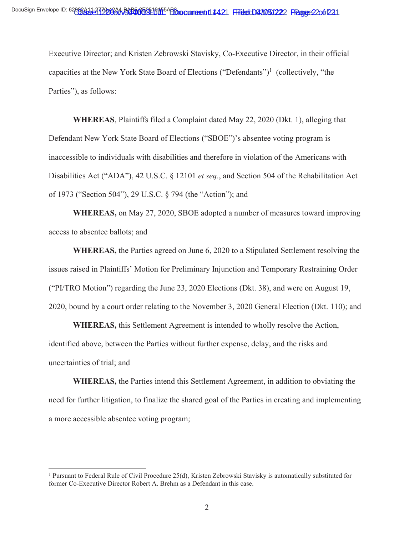capacities at the New York State Board of Elections ("Defendants")<sup>1</sup> (collectively, "the Executive Director; and Kristen Zebrowski Stavisky, Co-Executive Director, in their official Parties"), as follows:

**WHEREAS**, Plaintiffs filed a Complaint dated May 22, 2020 (Dkt. 1), alleging that Defendant New York State Board of Elections ("SBOE")'s absentee voting program is inaccessible to individuals with disabilities and therefore in violation of the Americans with Disabilities Act ("ADA"), 42 U.S.C. § 12101 *et seq.*, and Section 504 of the Rehabilitation Act of 1973 ("Section 504"), 29 U.S.C. § 794 (the "Action"); and

**WHEREAS,** on May 27, 2020, SBOE adopted a number of measures toward improving access to absentee ballots; and

**WHEREAS,** the Parties agreed on June 6, 2020 to a Stipulated Settlement resolving the issues raised in Plaintiffs' Motion for Preliminary Injunction and Temporary Restraining Order ("PI/TRO Motion") regarding the June 23, 2020 Elections (Dkt. 38), and were on August 19, 2020, bound by a court order relating to the November 3, 2020 General Election (Dkt. 110); and

**WHEREAS,** this Settlement Agreement is intended to wholly resolve the Action, identified above, between the Parties without further expense, delay, and the risks and uncertainties of trial; and

**WHEREAS,** the Parties intend this Settlement Agreement, in addition to obviating the need for further litigation, to finalize the shared goal of the Parties in creating and implementing a more accessible absentee voting program;

<sup>&</sup>lt;sup>1</sup> Pursuant to Federal Rule of Civil Procedure 25(d), Kristen Zebrowski Stavisky is automatically substituted for former Co-Executive Director Robert A. Brehm as a Defendant in this case.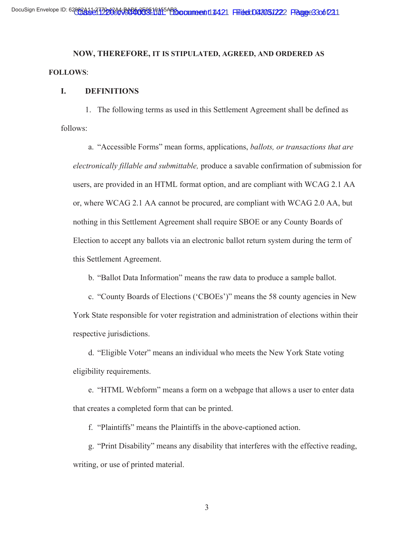# **NOW, THEREFORE, IT IS STIPULATED, AGREED, AND ORDERED AS FOLLOWS**:

## **I. DEFINITIONS**

1. The following terms as used in this Settlement Agreement shall be defined as follows:

a. "Accessible Forms" mean forms, applications, *ballots, or transactions that are electronically fillable and submittable,* produce a savable confirmation of submission for users, are provided in an HTML format option, and are compliant with WCAG 2.1 AA or, where WCAG 2.1 AA cannot be procured, are compliant with WCAG 2.0 AA, but nothing in this Settlement Agreement shall require SBOE or any County Boards of Election to accept any ballots via an electronic ballot return system during the term of this Settlement Agreement.

b. "Ballot Data Information" means the raw data to produce a sample ballot.

c. "County Boards of Elections ('CBOEs')" means the 58 county agencies in New York State responsible for voter registration and administration of elections within their respective jurisdictions.

eligibility requirements. d. "Eligible Voter" means an individual who meets the New York State voting

that creates a completed form that can be printed. e. "HTML Webform" means a form on a webpage that allows a user to enter data

f. "Plaintiffs" means the Plaintiffs in the above-captioned action.

g. "Print Disability" means any disability that interferes with the effective reading, writing, or use of printed material.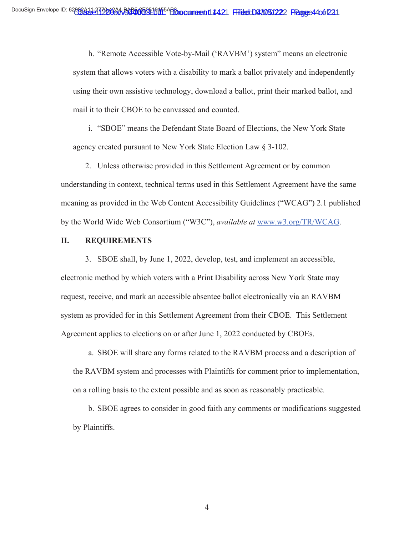h. "Remote Accessible Vote-by-Mail ('RAVBM') system" means an electronic system that allows voters with a disability to mark a ballot privately and independently using their own assistive technology, download a ballot, print their marked ballot, and mail it to their CBOE to be canvassed and counted.

i. "SBOE" means the Defendant State Board of Elections, the New York State agency created pursuant to New York State Election Law § 3-102.

2. Unless otherwise provided in this Settlement Agreement or by common understanding in context, technical terms used in this Settlement Agreement have the same meaning as provided in the Web Content Accessibility Guidelines ("WCAG") 2.1 published by the World Wide Web Consortium ("W3C"), *available at* <www.w3.org/TR/WCAG>.

#### **II. REQUIREMENTS**

3. SBOE shall, by June 1, 2022, develop, test, and implement an accessible, electronic method by which voters with a Print Disability across New York State may request, receive, and mark an accessible absentee ballot electronically via an RAVBM system as provided for in this Settlement Agreement from their CBOE. This Settlement Agreement applies to elections on or after June 1, 2022 conducted by CBOEs.

a. SBOE will share any forms related to the RAVBM process and a description of the RAVBM system and processes with Plaintiffs for comment prior to implementation, on a rolling basis to the extent possible and as soon as reasonably practicable.

b. SBOE agrees to consider in good faith any comments or modifications suggested by Plaintiffs.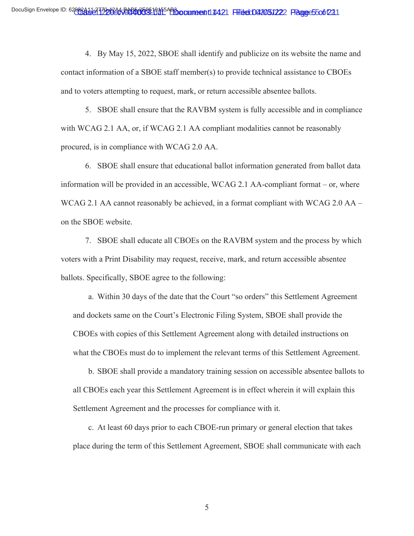4. By May 15, 2022, SBOE shall identify and publicize on its website the name and contact information of a SBOE staff member(s) to provide technical assistance to CBOEs and to voters attempting to request, mark, or return accessible absentee ballots.

5. SBOE shall ensure that the RAVBM system is fully accessible and in compliance with WCAG 2.1 AA, or, if WCAG 2.1 AA compliant modalities cannot be reasonably procured, is in compliance with WCAG 2.0 AA.

6. SBOE shall ensure that educational ballot information generated from ballot data information will be provided in an accessible, WCAG 2.1 AA-compliant format – or, where WCAG 2.1 AA cannot reasonably be achieved, in a format compliant with WCAG 2.0 AA – on the SBOE website.

ballots. Specifically, SBOE agree to the following: 7. SBOE shall educate all CBOEs on the RAVBM system and the process by which voters with a Print Disability may request, receive, mark, and return accessible absentee

a. Within 30 days of the date that the Court "so orders" this Settlement Agreement and dockets same on the Court's Electronic Filing System, SBOE shall provide the CBOEs with copies of this Settlement Agreement along with detailed instructions on what the CBOEs must do to implement the relevant terms of this Settlement Agreement.

Settlement Agreement and the processes for compliance with it. b. SBOE shall provide a mandatory training session on accessible absentee ballots to all CBOEs each year this Settlement Agreement is in effect wherein it will explain this

c. At least 60 days prior to each CBOE-run primary or general election that takes place during the term of this Settlement Agreement, SBOE shall communicate with each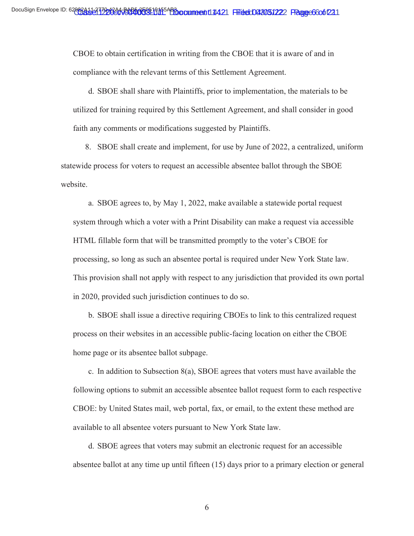CBOE to obtain certification in writing from the CBOE that it is aware of and in compliance with the relevant terms of this Settlement Agreement.

d. SBOE shall share with Plaintiffs, prior to implementation, the materials to be utilized for training required by this Settlement Agreement, and shall consider in good faith any comments or modifications suggested by Plaintiffs.

8. SBOE shall create and implement, for use by June of 2022, a centralized, uniform statewide process for voters to request an accessible absentee ballot through the SBOE website.

a. SBOE agrees to, by May 1, 2022, make available a statewide portal request system through which a voter with a Print Disability can make a request via accessible HTML fillable form that will be transmitted promptly to the voter's CBOE for processing, so long as such an absentee portal is required under New York State law. This provision shall not apply with respect to any jurisdiction that provided its own portal in 2020, provided such jurisdiction continues to do so.

home page or its absentee ballot subpage. b. SBOE shall issue a directive requiring CBOEs to link to this centralized request process on their websites in an accessible public-facing location on either the CBOE

c. In addition to Subsection  $8(a)$ , SBOE agrees that voters must have available the following options to submit an accessible absentee ballot request form to each respective CBOE: by United States mail, web portal, fax, or email, to the extent these method are available to all absentee voters pursuant to New York State law.

d. SBOE agrees that voters may submit an electronic request for an accessible absentee ballot at any time up until fifteen (15) days prior to a primary election or general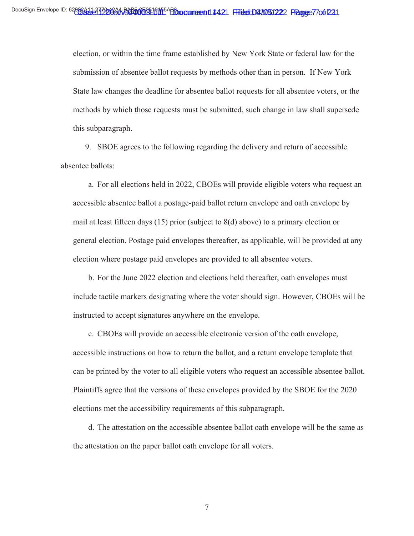State law changes the deadline for absentee ballot requests for all absentee voters, or the election, or within the time frame established by New York State or federal law for the submission of absentee ballot requests by methods other than in person. If New York methods by which those requests must be submitted, such change in law shall supersede this subparagraph.

absentee ballots: 9. SBOE agrees to the following regarding the delivery and return of accessible

a. For all elections held in 2022, CBOEs will provide eligible voters who request an accessible absentee ballot a postage-paid ballot return envelope and oath envelope by mail at least fifteen days (15) prior (subject to 8(d) above) to a primary election or general election. Postage paid envelopes thereafter, as applicable, will be provided at any election where postage paid envelopes are provided to all absentee voters.

b. For the June 2022 election and elections held thereafter, oath envelopes must include tactile markers designating where the voter should sign. However, CBOEs will be instructed to accept signatures anywhere on the envelope.

c. CBOEs will provide an accessible electronic version of the oath envelope, accessible instructions on how to return the ballot, and a return envelope template that can be printed by the voter to all eligible voters who request an accessible absentee ballot. Plaintiffs agree that the versions of these envelopes provided by the SBOE for the 2020 elections met the accessibility requirements of this subparagraph.

d. The attestation on the accessible absentee ballot oath envelope will be the same as the attestation on the paper ballot oath envelope for all voters.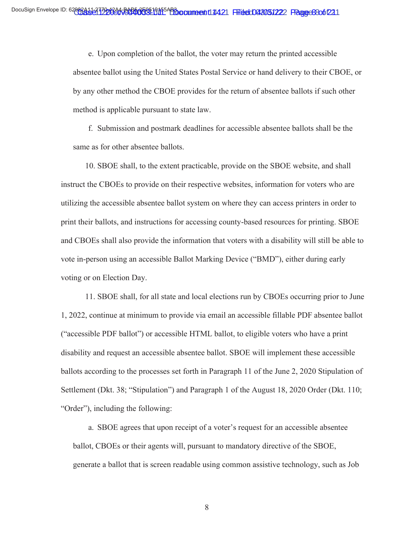method is applicable pursuant to state law. e. Upon completion of the ballot, the voter may return the printed accessible absentee ballot using the United States Postal Service or hand delivery to their CBOE, or by any other method the CBOE provides for the return of absentee ballots if such other

same as for other absentee ballots. f. Submission and postmark deadlines for accessible absentee ballots shall be the

10. SBOE shall, to the extent practicable, provide on the SBOE website, and shall instruct the CBOEs to provide on their respective websites, information for voters who are utilizing the accessible absentee ballot system on where they can access printers in order to print their ballots, and instructions for accessing county-based resources for printing. SBOE and CBOEs shall also provide the information that voters with a disability will still be able to vote in-person using an accessible Ballot Marking Device ("BMD"), either during early voting or on Election Day.

11. SBOE shall, for all state and local elections run by CBOEs occurring prior to June 1, 2022, continue at minimum to provide via email an accessible fillable PDF absentee ballot ("accessible PDF ballot") or accessible HTML ballot, to eligible voters who have a print disability and request an accessible absentee ballot. SBOE will implement these accessible ballots according to the processes set forth in Paragraph 11 of the June 2, 2020 Stipulation of Settlement (Dkt. 38; "Stipulation") and Paragraph 1 of the August 18, 2020 Order (Dkt. 110; "Order"), including the following:

a. SBOE agrees that upon receipt of a voter's request for an accessible absentee ballot, CBOEs or their agents will, pursuant to mandatory directive of the SBOE, generate a ballot that is screen readable using common assistive technology, such as Job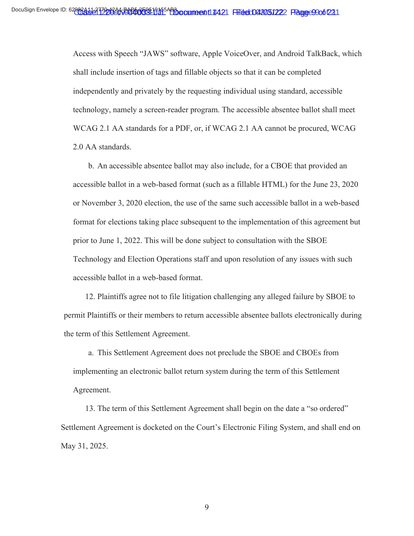Access with Speech "JAWS" software, Apple VoiceOver, and Android TalkBack, which shall include insertion of tags and fillable objects so that it can be completed independently and privately by the requesting individual using standard, accessible technology, namely a screen-reader program. The accessible absentee ballot shall meet WCAG 2.1 AA standards for a PDF, or, if WCAG 2.1 AA cannot be procured, WCAG 2.0 AA standards.

b. An accessible absentee ballot may also include, for a CBOE that provided an accessible ballot in a web-based format (such as a fillable HTML) for the June 23, 2020 or November 3, 2020 election, the use of the same such accessible ballot in a web-based format for elections taking place subsequent to the implementation of this agreement but prior to June 1, 2022. This will be done subject to consultation with the SBOE Technology and Election Operations staff and upon resolution of any issues with such accessible ballot in a web-based format.

12. Plaintiffs agree not to file litigation challenging any alleged failure by SBOE to permit Plaintiffs or their members to return accessible absentee ballots electronically during the term of this Settlement Agreement.

a. This Settlement Agreement does not preclude the SBOE and CBOEs from implementing an electronic ballot return system during the term of this Settlement Agreement.

13. The term of this Settlement Agreement shall begin on the date a "so ordered" Settlement Agreement is docketed on the Court's Electronic Filing System, and shall end on May 31, 2025.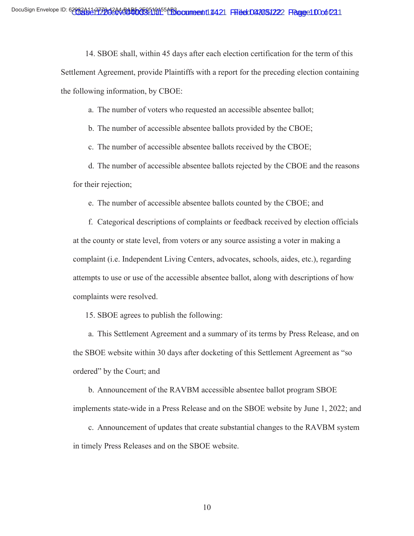the following information, by CBOE: 14. SBOE shall, within 45 days after each election certification for the term of this Settlement Agreement, provide Plaintiffs with a report for the preceding election containing

a. The number of voters who requested an accessible absentee ballot;

b. The number of accessible absentee ballots provided by the CBOE;

c. The number of accessible absentee ballots received by the CBOE;

 for their rejection; d. The number of accessible absentee ballots rejected by the CBOE and the reasons

e. The number of accessible absentee ballots counted by the CBOE; and

complaints were resolved. f. Categorical descriptions of complaints or feedback received by election officials at the county or state level, from voters or any source assisting a voter in making a complaint (i.e. Independent Living Centers, advocates, schools, aides, etc.), regarding attempts to use or use of the accessible absentee ballot, along with descriptions of how

15. SBOE agrees to publish the following:

 ordered" by the Court; and a. This Settlement Agreement and a summary of its terms by Press Release, and on the SBOE website within 30 days after docketing of this Settlement Agreement as "so

 implements state-wide in a Press Release and on the SBOE website by June 1, 2022; and c. Announcement of updates that create substantial changes to the RAVBM system b. Announcement of the RAVBM accessible absentee ballot program SBOE

in timely Press Releases and on the SBOE website.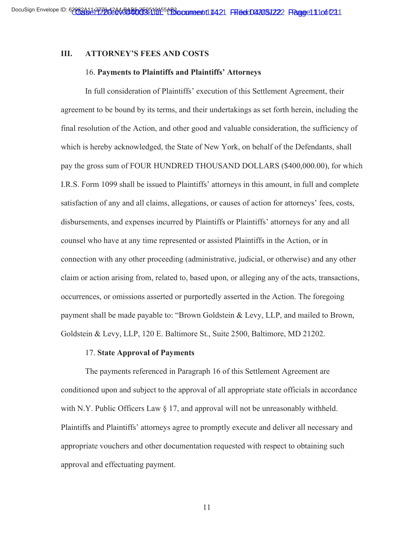## **III. ATTORNEY'S FEES AND COSTS**

#### 16. **Payments to Plaintiffs and Plaintiffs' Attorneys**

In full consideration of Plaintiffs' execution of this Settlement Agreement, their agreement to be bound by its terms, and their undertakings as set forth herein, including the final resolution of the Action, and other good and valuable consideration, the sufficiency of which is hereby acknowledged, the State of New York, on behalf of the Defendants, shall pay the gross sum of FOUR HUNDRED THOUSAND DOLLARS ([\\$400,000.00](https://400,000.00)), for which I.R.S. Form 1099 shall be issued to Plaintiffs' attorneys in this amount, in full and complete satisfaction of any and all claims, allegations, or causes of action for attorneys' fees, costs, disbursements, and expenses incurred by Plaintiffs or Plaintiffs' attorneys for any and all counsel who have at any time represented or assisted Plaintiffs in the Action, or in connection with any other proceeding (administrative, judicial, or otherwise) and any other claim or action arising from, related to, based upon, or alleging any of the acts, transactions, occurrences, or omissions asserted or purportedly asserted in the Action. The foregoing payment shall be made payable to: "Brown Goldstein & Levy, LLP, and mailed to Brown, Goldstein & Levy, LLP, 120 E. Baltimore St., Suite 2500, Baltimore, MD 21202.

#### 17. **State Approval of Payments**

approval and effectuating payment.<br>
11 The payments referenced in Paragraph 16 of this Settlement Agreement are conditioned upon and subject to the approval of all appropriate state officials in accordance with N.Y. Public Officers Law  $\S 17$ , and approval will not be unreasonably withheld. Plaintiffs and Plaintiffs' attorneys agree to promptly execute and deliver all necessary and appropriate vouchers and other documentation requested with respect to obtaining such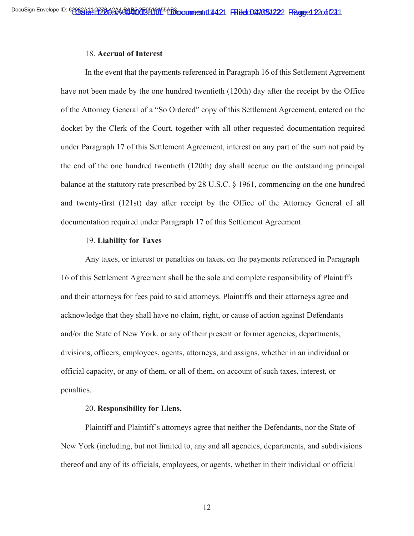### 18. **Accrual of Interest**

In the event that the payments referenced in Paragraph 16 of this Settlement Agreement have not been made by the one hundred twentieth (120th) day after the receipt by the Office of the Attorney General of a "So Ordered" copy of this Settlement Agreement, entered on the docket by the Clerk of the Court, together with all other requested documentation required under Paragraph 17 of this Settlement Agreement, interest on any part of the sum not paid by the end of the one hundred twentieth (120th) day shall accrue on the outstanding principal balance at the statutory rate prescribed by 28 U.S.C. § 1961, commencing on the one hundred and twenty-first (121st) day after receipt by the Office of the Attorney General of all documentation required under Paragraph 17 of this Settlement Agreement.

## 19. **Liability for Taxes**

Any taxes, or interest or penalties on taxes, on the payments referenced in Paragraph 16 of this Settlement Agreement shall be the sole and complete responsibility of Plaintiffs and their attorneys for fees paid to said attorneys. Plaintiffs and their attorneys agree and acknowledge that they shall have no claim, right, or cause of action against Defendants and/or the State of New York, or any of their present or former agencies, departments, divisions, officers, employees, agents, attorneys, and assigns, whether in an individual or official capacity, or any of them, or all of them, on account of such taxes, interest, or penalties.

### 20. **Responsibility for Liens.**

Plaintiff and Plaintiff's attorneys agree that neither the Defendants, nor the State of New York (including, but not limited to, any and all agencies, departments, and subdivisions thereof and any of its officials, employees, or agents, whether in their individual or official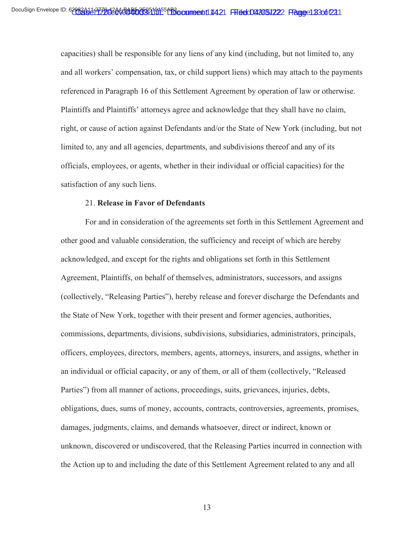capacities) shall be responsible for any liens of any kind (including, but not limited to, any and all workers' compensation, tax, or child support liens) which may attach to the payments referenced in Paragraph 16 of this Settlement Agreement by operation of law or otherwise. Plaintiffs and Plaintiffs' attorneys agree and acknowledge that they shall have no claim, right, or cause of action against Defendants and/or the State of New York (including, but not limited to, any and all agencies, departments, and subdivisions thereof and any of its officials, employees, or agents, whether in their individual or official capacities) for the satisfaction of any such liens.

### 21. **Release in Favor of Defendants**

For and in consideration of the agreements set forth in this Settlement Agreement and other good and valuable consideration, the sufficiency and receipt of which are hereby acknowledged, and except for the rights and obligations set forth in this Settlement Agreement, Plaintiffs, on behalf of themselves, administrators, successors, and assigns (collectively, "Releasing Parties"), hereby release and forever discharge the Defendants and the State of New York, together with their present and former agencies, authorities, commissions, departments, divisions, subdivisions, subsidiaries, administrators, principals, officers, employees, directors, members, agents, attorneys, insurers, and assigns, whether in an individual or official capacity, or any of them, or all of them (collectively, "Released Parties") from all manner of actions, proceedings, suits, grievances, injuries, debts, obligations, dues, sums of money, accounts, contracts, controversies, agreements, promises, damages, judgments, claims, and demands whatsoever, direct or indirect, known or unknown, discovered or undiscovered, that the Releasing Parties incurred in connection with the Action up to and including the date of this Settlement Agreement related to any and all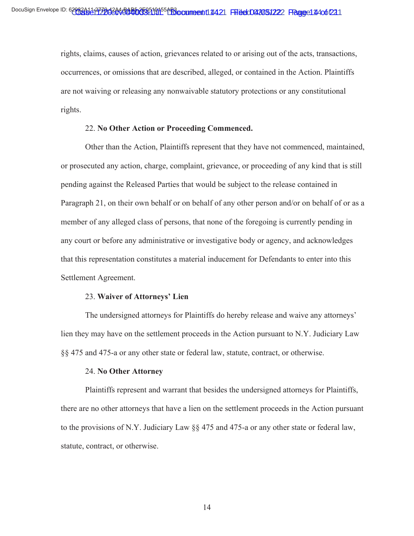rights, claims, causes of action, grievances related to or arising out of the acts, transactions, occurrences, or omissions that are described, alleged, or contained in the Action. Plaintiffs are not waiving or releasing any nonwaivable statutory protections or any constitutional rights.

#### 22. **No Other Action or Proceeding Commenced.**

Other than the Action, Plaintiffs represent that they have not commenced, maintained, or prosecuted any action, charge, complaint, grievance, or proceeding of any kind that is still pending against the Released Parties that would be subject to the release contained in Paragraph 21, on their own behalf or on behalf of any other person and/or on behalf of or as a member of any alleged class of persons, that none of the foregoing is currently pending in any court or before any administrative or investigative body or agency, and acknowledges that this representation constitutes a material inducement for Defendants to enter into this Settlement Agreement.

#### 23. **Waiver of Attorneys' Lien**

The undersigned attorneys for Plaintiffs do hereby release and waive any attorneys' lien they may have on the settlement proceeds in the Action pursuant to N.Y. Judiciary Law §§ 475 and 475-a or any other state or federal law, statute, contract, or otherwise.

#### 24. **No Other Attorney**

Plaintiffs represent and warrant that besides the undersigned attorneys for Plaintiffs, there are no other attorneys that have a lien on the settlement proceeds in the Action pursuant to the provisions of N.Y. Judiciary Law §§ 475 and 475-a or any other state or federal law, statute, contract, or otherwise.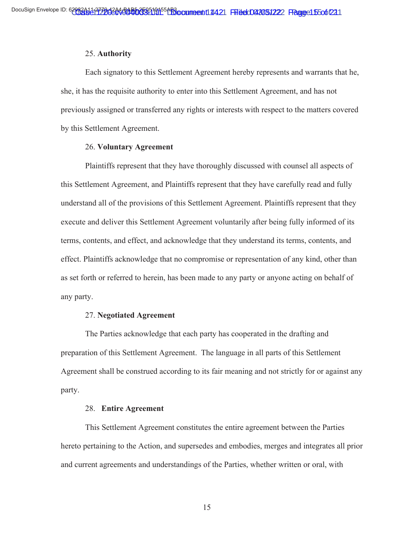#### 25. **Authority**

Each signatory to this Settlement Agreement hereby represents and warrants that he, she, it has the requisite authority to enter into this Settlement Agreement, and has not previously assigned or transferred any rights or interests with respect to the matters covered by this Settlement Agreement.

## 26. **Voluntary Agreement**

Plaintiffs represent that they have thoroughly discussed with counsel all aspects of this Settlement Agreement, and Plaintiffs represent that they have carefully read and fully understand all of the provisions of this Settlement Agreement. Plaintiffs represent that they execute and deliver this Settlement Agreement voluntarily after being fully informed of its terms, contents, and effect, and acknowledge that they understand its terms, contents, and effect. Plaintiffs acknowledge that no compromise or representation of any kind, other than as set forth or referred to herein, has been made to any party or anyone acting on behalf of any party.

#### 27. **Negotiated Agreement**

The Parties acknowledge that each party has cooperated in the drafting and preparation of this Settlement Agreement. The language in all parts of this Settlement Agreement shall be construed according to its fair meaning and not strictly for or against any party.

#### 28. **Entire Agreement**

This Settlement Agreement constitutes the entire agreement between the Parties hereto pertaining to the Action, and supersedes and embodies, merges and integrates all prior and current agreements and understandings of the Parties, whether written or oral, with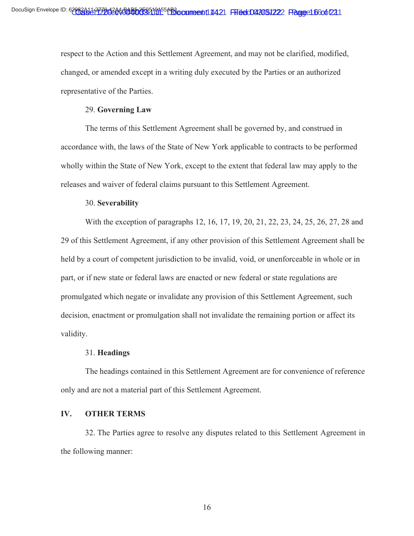respect to the Action and this Settlement Agreement, and may not be clarified, modified, changed, or amended except in a writing duly executed by the Parties or an authorized representative of the Parties.

## 29. **Governing Law**

The terms of this Settlement Agreement shall be governed by, and construed in accordance with, the laws of the State of New York applicable to contracts to be performed wholly within the State of New York, except to the extent that federal law may apply to the releases and waiver of federal claims pursuant to this Settlement Agreement.

#### 30. **Severability**

With the exception of paragraphs 12, 16, 17, 19, 20, 21, 22, 23, 24, 25, 26, 27, 28 and 29 of this Settlement Agreement, if any other provision of this Settlement Agreement shall be held by a court of competent jurisdiction to be invalid, void, or unenforceable in whole or in part, or if new state or federal laws are enacted or new federal or state regulations are promulgated which negate or invalidate any provision of this Settlement Agreement, such decision, enactment or promulgation shall not invalidate the remaining portion or affect its validity.

#### 31. **Headings**

The headings contained in this Settlement Agreement are for convenience of reference only and are not a material part of this Settlement Agreement.

## **IV. OTHER TERMS**

32. The Parties agree to resolve any disputes related to this Settlement Agreement in the following manner: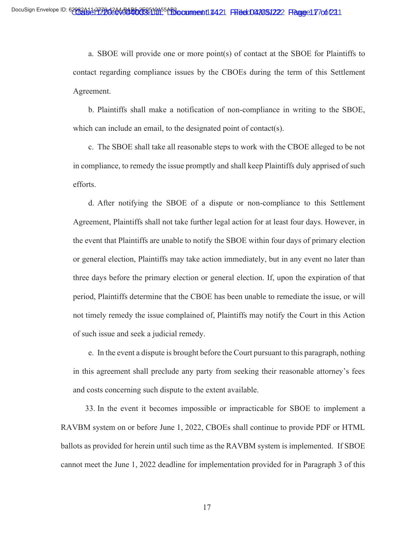a. SBOE will provide one or more point(s) of contact at the SBOE for Plaintiffs to contact regarding compliance issues by the CBOEs during the term of this Settlement Agreement.

b. Plaintiffs shall make a notification of non-compliance in writing to the SBOE, which can include an email, to the designated point of contact(s).

c. The SBOE shall take all reasonable steps to work with the CBOE alleged to be not in compliance, to remedy the issue promptly and shall keep Plaintiffs duly apprised of such efforts.

d. After notifying the SBOE of a dispute or non-compliance to this Settlement Agreement, Plaintiffs shall not take further legal action for at least four days. However, in the event that Plaintiffs are unable to notify the SBOE within four days of primary election or general election, Plaintiffs may take action immediately, but in any event no later than three days before the primary election or general election. If, upon the expiration of that period, Plaintiffs determine that the CBOE has been unable to remediate the issue, or will not timely remedy the issue complained of, Plaintiffs may notify the Court in this Action of such issue and seek a judicial remedy.

and costs concerning such dispute to the extent available. e. In the event a dispute is brought before the Court pursuant to this paragraph, nothing in this agreement shall preclude any party from seeking their reasonable attorney's fees

 ballots as provided for herein until such time as the RAVBM system is implemented. If SBOE cannot meet the June 1, 2022 deadline for implementation provided for in Paragraph 3 of this 33. In the event it becomes impossible or impracticable for SBOE to implement a RAVBM system on or before June 1, 2022, CBOEs shall continue to provide PDF or HTML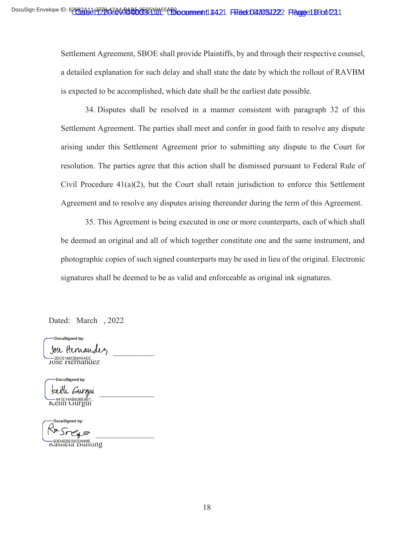is expected to be accomplished, which date shall be the earliest date possible. Settlement Agreement, SBOE shall provide Plaintiffs, by and through their respective counsel, a detailed explanation for such delay and shall state the date by which the rollout of RAVBM

34. Disputes shall be resolved in a manner consistent with paragraph 32 of this Settlement Agreement. The parties shall meet and confer in good faith to resolve any dispute arising under this Settlement Agreement prior to submitting any dispute to the Court for resolution. The parties agree that this action shall be dismissed pursuant to Federal Rule of Civil Procedure  $41(a)(2)$ , but the Court shall retain jurisdiction to enforce this Settlement Agreement and to resolve any disputes arising thereunder during the term of this Agreement.

35. This Agreement is being executed in one or more counterparts, each of which shall be deemed an original and all of which together constitute one and the same instrument, and photographic copies of such signed counterparts may be used in lieu of the original. Electronic signatures shall be deemed to be as valid and enforceable as original ink signatures.

Dated: March , 2022

DocuSigned by: Jose Hernandez -<br>JOSE Hernandez

DocuSianed by: teuth *G*uram

Keith Gurgui

DocuSianed by:  $x\rightarrow y$ 

-B3D4EBE59DD949E...<br>Kasheta Bunting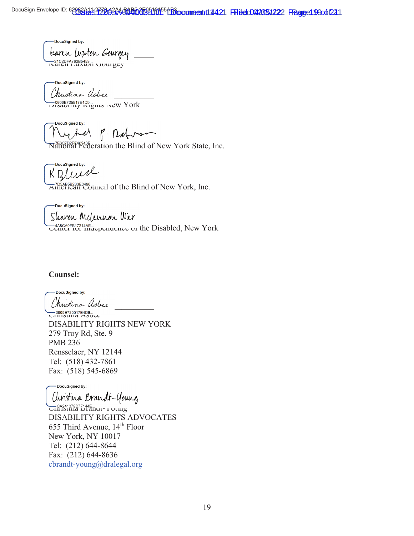DocuSigned by:

www.czaren 21020FA762B5453...<br>Trafeli Luxton Gourgey taren luston Gourgey

-DocuSigned by: Christina Asbee DISAULTLY RIGHTS NEW York

DocuSigned by:  $\ll \beta$  Patrim

National Federation the Blind of New York State, Inc.

DocuSigned by:  $\kappa$  if  $\mu\mu\nu\lambda$ 

American Council of the Blind of New York, Inc.

-DocuSigned by: Sharon McLennon Wier **CENTER FOR INDEPENDENCE** OF the Disabled, New York

# **Counsel:**

DocuSianed by:

Christina Asbee — 0609E725517E4D9...<br>Chi istina Asuee DISABILITY RIGHTS NEW YORK 279 Troy Rd, Ste. 9 PMB 236 Rensselaer, NY 12144 Tel: (518) 432-7861 Fax: (518) 545-6869

DocuSigned by:

Uinstina Brandt-Young

CA241379D77144E...<br>الحديث المسابق المستقيم التي التي التي تعلق التي تعلق التي تعلق التي تعلق التي تعلق التي تع DISABILITY RIGHTS ADVOCATES 655 Third Avenue, 14th Floor New York, NY 10017 Tel: (212) 644-8644 Fax: (212) 644-8636 [cbrandt-young@dralegal.org](mailto:cbrandt-young@dralegal.org)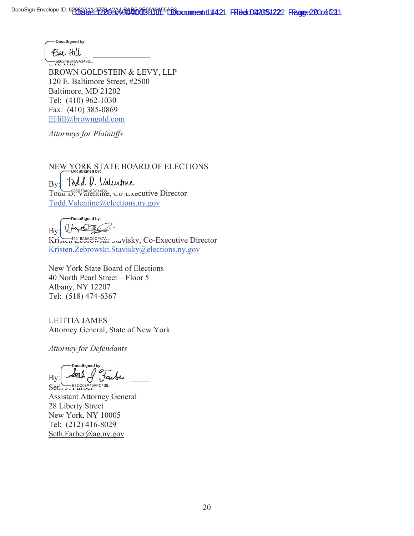DocuSigned by:

 BROWN GOLDSTEIN & LEVY, LLP 120 E. Baltimore Street, #2500 Eve thill Eve Hill Baltimore, MD 21202 Tel: (410) 962-1030 Fax: (410) 385-0869 [EHill@browngold.com](mailto:EHill@browngold.com) 

*Attorneys for Plaintiffs* 

Todd.Valentine@elections.ny.gov NEW YORK STATE BOARD OF ELECTIONS<br>By: (and 0. Valentine metals).<br>Toda D: valenting. CO-Executive Director Todd D. Valentine  $T_{\text{OGU}}^{\text{996B78AC6D814D6...}}$ 

DocuSigned by:  $By: V^{\sim}$ 

Kristen Zebrowski Stavisky, Co-Executive Director [Kristen.Zebrowski.Stavisky@elections.ny.gov](mailto:Kristen.Zebrowski.Stavisky@elections.ny.gov) 

New York State Board of Elections 40 North Pearl Street – Floor 5 Albany, NY 12207 Tel: (518) 474-6367

LETITIA JAMES Attorney General, State of New York

*Attorney for Defendants* 

DocuSianed by  $By$ :  $\rightarrow$  all  $\rightarrow$   $\rightarrow$   $\rightarrow$   $\rightarrow$ Seth J. FarcesA49AFC436.

Assistant Attorney General 28 Liberty Street New York, NY 10005 Tel: (212) 416-8029 [Seth.Farber@ag.ny.gov](mailto:Seth.Farber@ag.ny.gov)